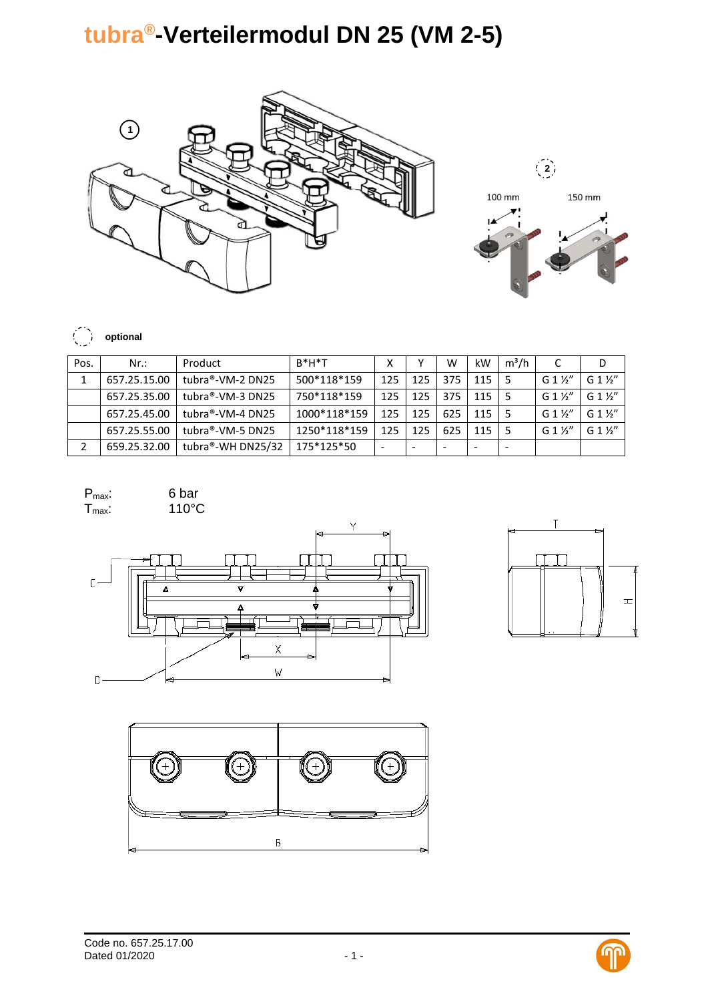## **tubra®-Verteilermodul DN 25 (VM 2-5)**





## $\binom{2}{2}$ **optional**

| Pos. | $Nr$ :       | Product           | $R^*H^*T$    |     |                          | W                        | kW  | $m^3/h$ |                 | D                |
|------|--------------|-------------------|--------------|-----|--------------------------|--------------------------|-----|---------|-----------------|------------------|
|      | 657.25.15.00 | tubra®-VM-2 DN25  | 500*118*159  | 125 | 125                      | 375                      | 115 |         | $G1\frac{1}{2}$ | $G_1\frac{1}{2}$ |
|      | 657.25.35.00 | tubra®-VM-3 DN25  | 750*118*159  | 125 | 125                      | 375                      | 115 |         | $G1\frac{1}{2}$ | G 1 1/2"         |
|      | 657.25.45.00 | tubra®-VM-4 DN25  | 1000*118*159 | 125 | 125                      | 625                      | 115 |         | $G1\frac{1}{2}$ | G 1 1/2"         |
|      | 657.25.55.00 | tubra®-VM-5 DN25  | 1250*118*159 | 125 | 125                      | 625                      | 115 |         | $G1\frac{1}{2}$ | $G1\frac{1}{2}$  |
|      | 659.25.32.00 | tubra®-WH DN25/32 | 175*125*50   | -   | $\overline{\phantom{a}}$ | $\overline{\phantom{a}}$ |     |         |                 |                  |

| $P_{\text{max}}$ | 6 bar |
|------------------|-------|
| $T_{\text{max}}$ | 110°C |